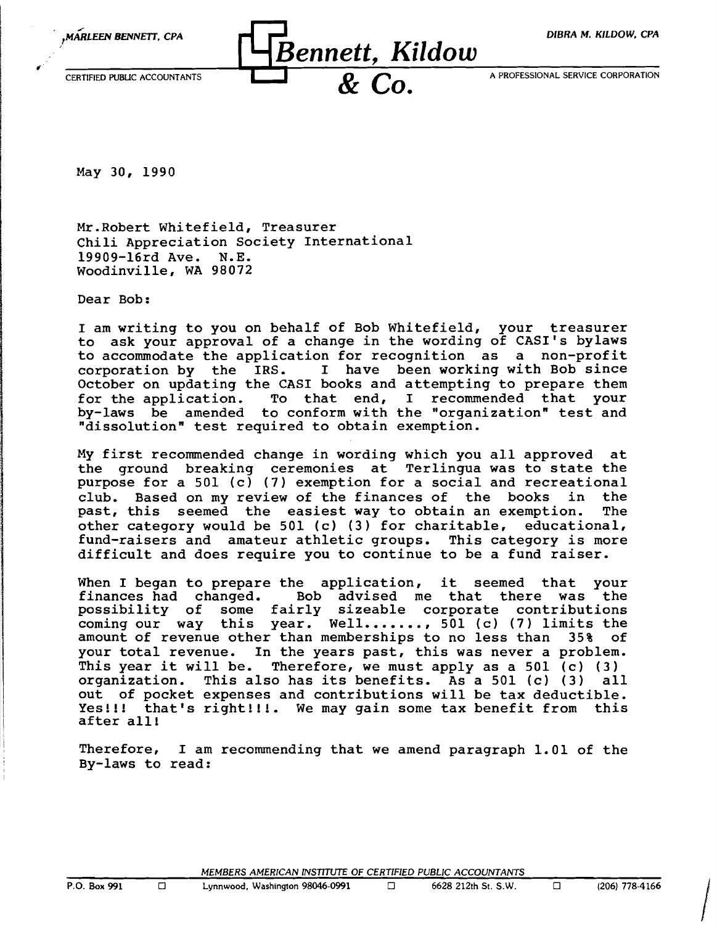

May 30, 1990

Mr.Robert Whitefield, Treasurer Chili Appreciation Society International 19909-l6rd Ave. N.E. Woodinville, WA 98072

Dear Bob:

I am writing to you on behalf of Bob Whitefield, your treasurer to ask your approval of a change in the wording of CASI's bylaws to accommodate the application for recognition as a non-profit corporation by the IRS. I have been working with Bob since October on updating the CASI books and attempting to prepare them<br>for the application. To that end, I recommended that your To that end, I recommended that your by-laws be amended to conform with the "organization" test and "dissolution" test required to obtain exemption.

My first recommended change in wording which you all approved at the ground breaking ceremonies at Terlingua was to state the purpose for a 501 (c) (7) exemption for a social and recreational club. Based on my review of the finances of the books in the past, this seemed the easiest way to obtain an exemption. The past, this seemed the easiest way to obtain an exemption. other category would be 501 (c) (3) for charitable, educational, fund-raisers and amateur athletic groups. This category is more difficult and does require you to continue to be a fund raiser.

When I began to prepare the application, it seemed that your<br>finances had changed. Bob advised me that there was the Bob advised me that there was possibility of some fairly sizeable corporate contributions possibility of some failty sizeable corporate contributions<br>coming our way this year. Well......., 501 (c) (7) limits the amount of revenue other than memberships to no less than 35% of your total revenue. In the years past, this was never a problem. This year it will be. Therefore, we must apply as a 501 (c) (3)<br>organization. This also has its benefits. As a 501 (c) (3) all organization. This also has its benefits. As a  $501$  (c) (3) out of pocket expenses and contributions will be tax deductible. Yes!!! that's right!!!. We may gain some tax benefit from this after all!

Therefore, I am recommending that we amend paragraph 1.01 of the By-laws to read:

MEMBERS AMERICAN INSTITUTE OF CERTIFIED PUBLIC ACCOUNTANTS